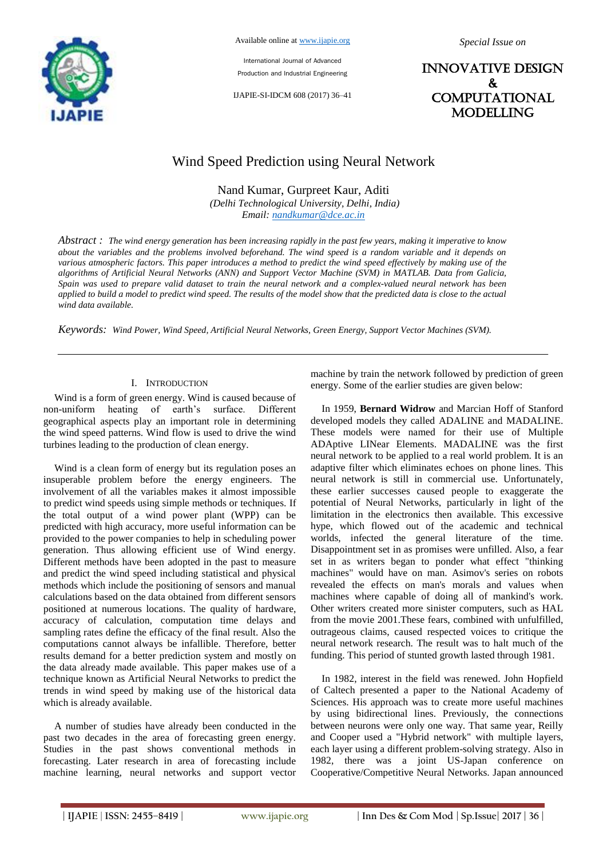

International Journal of Advanced Production and Industrial Engineering

IJAPIE-SI-IDCM 608 (2017) 36–41

*Special Issue on*

INNOVATIVE DESIGN & **COMPUTATIONAL** MODELLING

# Wind Speed Prediction using Neural Network

Nand Kumar, Gurpreet Kaur, Aditi

*(Delhi Technological University, Delhi, India) Email: nandkumar@dce.ac.in*

*Abstract : The wind energy generation has been increasing rapidly in the past few years, making it imperative to know about the variables and the problems involved beforehand. The wind speed is a random variable and it depends on various atmospheric factors. This paper introduces a method to predict the wind speed effectively by making use of the algorithms of Artificial Neural Networks (ANN) and Support Vector Machine (SVM) in MATLAB. Data from Galicia, Spain was used to prepare valid dataset to train the neural network and a complex-valued neural network has been applied to build a model to predict wind speed. The results of the model show that the predicted data is close to the actual wind data available.* 

*Keywords: Wind Power, Wind Speed, Artificial Neural Networks, Green Energy, Support Vector Machines (SVM).* 

#### I. INTRODUCTION

Wind is a form of green energy. Wind is caused because of non-uniform heating of earth's surface. Different geographical aspects play an important role in determining the wind speed patterns. Wind flow is used to drive the wind turbines leading to the production of clean energy.

Wind is a clean form of energy but its regulation poses an insuperable problem before the energy engineers. The involvement of all the variables makes it almost impossible to predict wind speeds using simple methods or techniques. If the total output of a wind power plant (WPP) can be predicted with high accuracy, more useful information can be provided to the power companies to help in scheduling power generation. Thus allowing efficient use of Wind energy. Different methods have been adopted in the past to measure and predict the wind speed including statistical and physical methods which include the positioning of sensors and manual calculations based on the data obtained from different sensors positioned at numerous locations. The quality of hardware, accuracy of calculation, computation time delays and sampling rates define the efficacy of the final result. Also the computations cannot always be infallible. Therefore, better results demand for a better prediction system and mostly on the data already made available. This paper makes use of a technique known as Artificial Neural Networks to predict the trends in wind speed by making use of the historical data which is already available.

A number of studies have already been conducted in the past two decades in the area of forecasting green energy. Studies in the past shows conventional methods in forecasting. Later research in area of forecasting include machine learning, neural networks and support vector machine by train the network followed by prediction of green energy. Some of the earlier studies are given below:

In 1959, **Bernard Widrow** and Marcian Hoff of Stanford developed models they called ADALINE and MADALINE. These models were named for their use of Multiple ADAptive LINear Elements. MADALINE was the first neural network to be applied to a real world problem. It is an adaptive filter which eliminates echoes on phone lines. This neural network is still in commercial use. Unfortunately, these earlier successes caused people to exaggerate the potential of Neural Networks, particularly in light of the limitation in the electronics then available. This excessive hype, which flowed out of the academic and technical worlds, infected the general literature of the time. Disappointment set in as promises were unfilled. Also, a fear set in as writers began to ponder what effect "thinking machines" would have on man. Asimov's series on robots revealed the effects on man's morals and values when machines where capable of doing all of mankind's work. Other writers created more sinister computers, such as HAL from the movie 2001.These fears, combined with unfulfilled, outrageous claims, caused respected voices to critique the neural network research. The result was to halt much of the funding. This period of stunted growth lasted through 1981.

In 1982, interest in the field was renewed. John Hopfield of Caltech presented a paper to the National Academy of Sciences. His approach was to create more useful machines by using bidirectional lines. Previously, the connections between neurons were only one way. That same year, Reilly and Cooper used a "Hybrid network" with multiple layers, each layer using a different problem-solving strategy. Also in 1982, there was a joint US-Japan conference on Cooperative/Competitive Neural Networks. Japan announced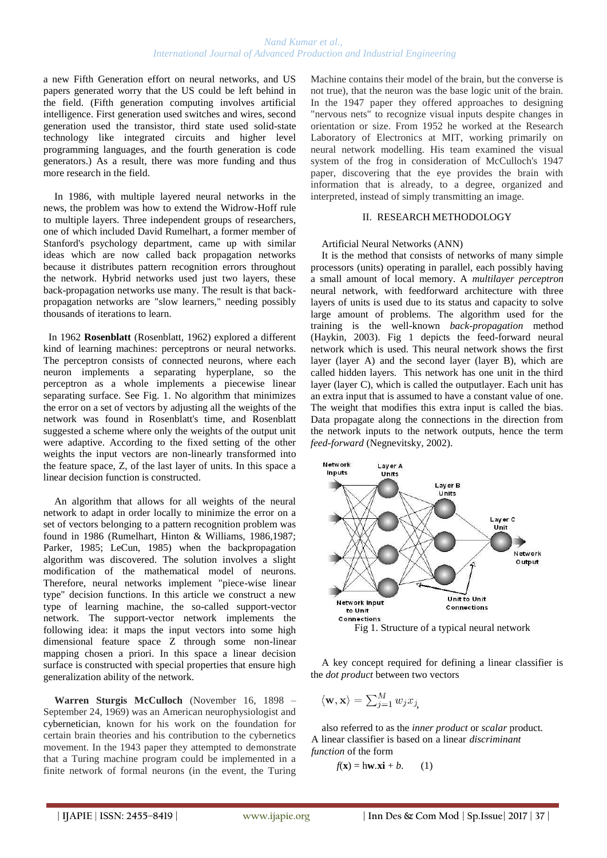a new Fifth Generation effort on neural networks, and US papers generated worry that the US could be left behind in the field. (Fifth generation computing involves artificial intelligence. First generation used switches and wires, second generation used the transistor, third state used solid-state technology like integrated circuits and higher level programming languages, and the fourth generation is code generators.) As a result, there was more funding and thus more research in the field.

In 1986, with multiple layered neural networks in the news, the problem was how to extend the Widrow-Hoff rule to multiple layers. Three independent groups of researchers, one of which included David Rumelhart, a former member of Stanford's psychology department, came up with similar ideas which are now called back propagation networks because it distributes pattern recognition errors throughout the network. Hybrid networks used just two layers, these back-propagation networks use many. The result is that backpropagation networks are "slow learners," needing possibly thousands of iterations to learn.

 In 1962 **Rosenblatt** (Rosenblatt, 1962) explored a different kind of learning machines: perceptrons or neural networks. The perceptron consists of connected neurons, where each neuron implements a separating hyperplane, so the perceptron as a whole implements a piecewise linear separating surface. See Fig. 1. No algorithm that minimizes the error on a set of vectors by adjusting all the weights of the network was found in Rosenblatt's time, and Rosenblatt suggested a scheme where only the weights of the output unit were adaptive. According to the fixed setting of the other weights the input vectors are non-linearly transformed into the feature space, Z, of the last layer of units. In this space a linear decision function is constructed.

An algorithm that allows for all weights of the neural network to adapt in order locally to minimize the error on a set of vectors belonging to a pattern recognition problem was found in 1986 (Rumelhart, Hinton & Williams, 1986,1987; Parker, 1985; LeCun, 1985) when the backpropagation algorithm was discovered. The solution involves a slight modification of the mathematical model of neurons. Therefore, neural networks implement "piece-wise linear type" decision functions. In this article we construct a new type of learning machine, the so-called support-vector network. The support-vector network implements the following idea: it maps the input vectors into some high dimensional feature space Z through some non-linear mapping chosen a priori. In this space a linear decision surface is constructed with special properties that ensure high generalization ability of the network.

**Warren Sturgis McCulloch** (November 16, 1898 – September 24, 1969) was an American neurophysiologist and cybernetician, known for his work on the foundation for certain brain theories and his contribution to the cybernetics movement. In the 1943 paper they attempted to demonstrate that a Turing machine program could be implemented in a finite network of formal neurons (in the event, the Turing

Machine contains their model of the brain, but the converse is not true), that the neuron was the base logic unit of the brain. In the 1947 paper they offered approaches to designing "nervous nets" to recognize visual inputs despite changes in orientation or size. From 1952 he worked at the Research Laboratory of Electronics at MIT, working primarily on neural network modelling. His team examined the visual system of the frog in consideration of McCulloch's 1947 paper, discovering that the eye provides the brain with information that is already, to a degree, organized and interpreted, instead of simply transmitting an image.

## II. RESEARCH METHODOLOGY

#### Artificial Neural Networks (ANN)

It is the method that consists of networks of many simple processors (units) operating in parallel, each possibly having a small amount of local memory. A *multilayer perceptron*  neural network, with feedforward architecture with three layers of units is used due to its status and capacity to solve large amount of problems. The algorithm used for the training is the well-known *back-propagation* method (Haykin, 2003). Fig 1 depicts the feed-forward neural network which is used. This neural network shows the first layer (layer A) and the second layer (layer B), which are called hidden layers. This network has one unit in the third layer (layer C), which is called the outputlayer. Each unit has an extra input that is assumed to have a constant value of one. The weight that modifies this extra input is called the bias. Data propagate along the connections in the direction from the network inputs to the network outputs, hence the term *feed-forward* (Negnevitsky, 2002).



A key concept required for defining a linear classifier is the *dot product* between two vectors

$$
\langle \mathbf{w}, \mathbf{x} \rangle = \sum_{j=1}^{M} w_j x_j
$$

also referred to as the *inner product* or *scalar* product*.* A linear classifier is based on a linear *discriminant function* of the form

$$
f(\mathbf{x}) = h\mathbf{w}.\mathbf{x}\mathbf{i} + b. \qquad (1)
$$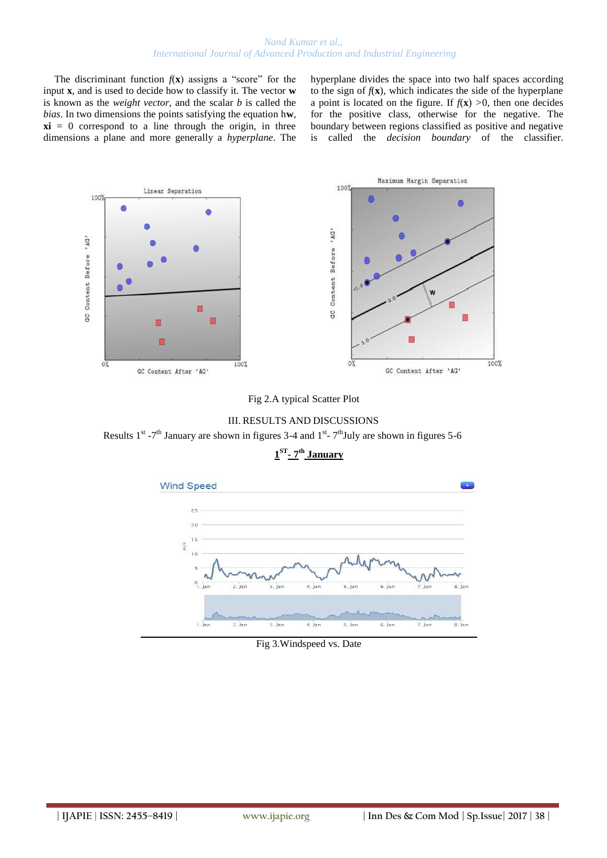The discriminant function  $f(\mathbf{x})$  assigns a "score" for the input **x**, and is used to decide how to classify it. The vector **w**  is known as the *weight vector*, and the scalar *b* is called the *bias*. In two dimensions the points satisfying the equation h**w***,*  $xi = 0$  correspond to a line through the origin, in three dimensions a plane and more generally a *hyperplane*. The hyperplane divides the space into two half spaces according to the sign of  $f(\mathbf{x})$ , which indicates the side of the hyperplane a point is located on the figure. If  $f(x) > 0$ , then one decides for the positive class, otherwise for the negative. The boundary between regions classified as positive and negative is called the *decision boundary* of the classifier.









**1 ST - 7 th January**

Fig 3.Windspeed vs. Date

4. Jan

5. Jan

6. Jan

7. Jan

8. Jan

 $3.$  Jan

 $1.$  Jar

 $2.$  Jar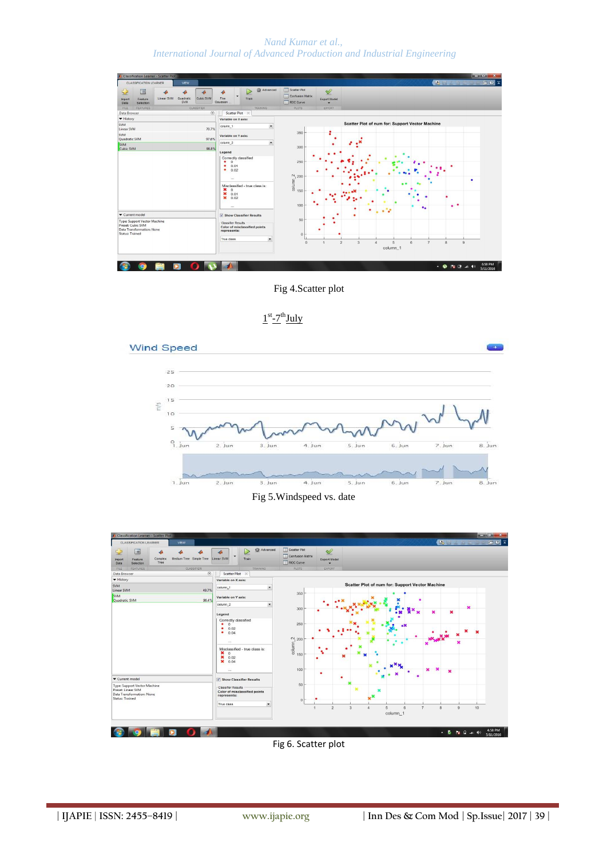*Nand Kumar et al., International Journal of Advanced Production and Industrial Engineering*



Fig 4.Scatter plot







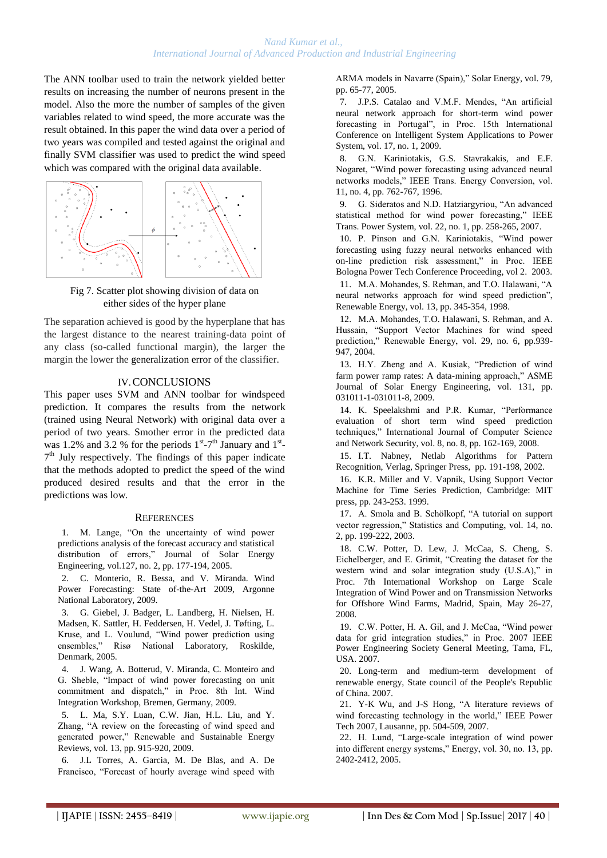The ANN toolbar used to train the network yielded better results on increasing the number of neurons present in the model. Also the more the number of samples of the given variables related to wind speed, the more accurate was the result obtained. In this paper the wind data over a period of two years was compiled and tested against the original and finally SVM classifier was used to predict the wind speed which was compared with the original data available.



Fig 7. Scatter plot showing division of data on either sides of the hyper plane

The separation achieved is good by the hyperplane that has the largest distance to the nearest training-data point of any class (so-called functional margin), the larger the margin the lower the generalization error of the classifier.

## IV.CONCLUSIONS

This paper uses SVM and ANN toolbar for windspeed prediction. It compares the results from the network (trained using Neural Network) with original data over a period of two years. Smother error in the predicted data was 1.2% and 3.2 % for the periods  $1^{st}$ -7<sup>th</sup> January and  $1^{st}$ -7<sup>th</sup> July respectively. The findings of this paper indicate that the methods adopted to predict the speed of the wind produced desired results and that the error in the predictions was low.

## **REFERENCES**

1. M. Lange, "On the uncertainty of wind power predictions analysis of the forecast accuracy and statistical distribution of errors," Journal of Solar Energy Engineering, vol.127, no. 2, pp. 177-194, 2005.

2. C. Monterio, R. Bessa, and V. Miranda. Wind Power Forecasting: State of-the-Art 2009, Argonne National Laboratory, 2009.

3. G. Giebel, J. Badger, L. Landberg, H. Nielsen, H. Madsen, K. Sattler, H. Feddersen, H. Vedel, J. Tøfting, L. Kruse, and L. Voulund, "Wind power prediction using ensembles," Risø National Laboratory, Roskilde, Denmark, 2005.

4. J. Wang, A. Botterud, V. Miranda, C. Monteiro and G. Sheble, "Impact of wind power forecasting on unit commitment and dispatch," in Proc. 8th Int. Wind Integration Workshop, Bremen, Germany, 2009.

5. L. Ma, S.Y. Luan, C.W. Jian, H.L. Liu, and Y. Zhang, "A review on the forecasting of wind speed and generated power," Renewable and Sustainable Energy Reviews, vol. 13, pp. 915-920, 2009.

6. J.L Torres, A. Garcia, M. De Blas, and A. De Francisco, "Forecast of hourly average wind speed with ARMA models in Navarre (Spain)," Solar Energy, vol. 79, pp. 65-77, 2005.

7. J.P.S. Catalao and V.M.F. Mendes, "An artificial neural network approach for short-term wind power forecasting in Portugal", in Proc. 15th International Conference on Intelligent System Applications to Power System, vol. 17, no. 1, 2009.

8. G.N. Kariniotakis, G.S. Stavrakakis, and E.F. Nogaret, "Wind power forecasting using advanced neural networks models," IEEE Trans. Energy Conversion, vol. 11, no. 4, pp. 762-767, 1996.

9. G. Sideratos and N.D. Hatziargyriou, "An advanced statistical method for wind power forecasting," IEEE Trans. Power System, vol. 22, no. 1, pp. 258-265, 2007.

10. P. Pinson and G.N. Kariniotakis, "Wind power forecasting using fuzzy neural networks enhanced with on-line prediction risk assessment," in Proc. IEEE Bologna Power Tech Conference Proceeding, vol 2. 2003.

11. M.A. Mohandes, S. Rehman, and T.O. Halawani, "A neural networks approach for wind speed prediction", Renewable Energy, vol. 13, pp. 345-354, 1998.

12. M.A. Mohandes, T.O. Halawani, S. Rehman, and A. Hussain, "Support Vector Machines for wind speed prediction," Renewable Energy, vol. 29, no. 6, pp.939- 947, 2004.

13. H.Y. Zheng and A. Kusiak, "Prediction of wind farm power ramp rates: A data-mining approach," ASME Journal of Solar Energy Engineering, vol. 131, pp. 031011-1-031011-8, 2009.

14. K. Speelakshmi and P.R. Kumar, "Performance evaluation of short term wind speed prediction techniques," International Journal of Computer Science and Network Security, vol. 8, no. 8, pp. 162-169, 2008.

15. I.T. Nabney, Netlab Algorithms for Pattern Recognition, Verlag, Springer Press, pp. 191-198, 2002.

16. K.R. Miller and V. Vapnik, Using Support Vector Machine for Time Series Prediction, Cambridge: MIT press, pp. 243-253. 1999.

17. A. Smola and B. Schölkopf, "A tutorial on support vector regression," Statistics and Computing, vol. 14, no. 2, pp. 199-222, 2003.

18. C.W. Potter, D. Lew, J. McCaa, S. Cheng, S. Eichelberger, and E. Grimit, "Creating the dataset for the western wind and solar integration study (U.S.A)," in Proc. 7th International Workshop on Large Scale Integration of Wind Power and on Transmission Networks for Offshore Wind Farms, Madrid, Spain, May 26-27, 2008.

19. C.W. Potter, H. A. Gil, and J. McCaa, "Wind power data for grid integration studies," in Proc. 2007 IEEE Power Engineering Society General Meeting, Tama, FL, USA. 2007.

20. Long-term and medium-term development of renewable energy, State council of the People's Republic of China. 2007.

21. Y-K Wu, and J-S Hong, "A literature reviews of wind forecasting technology in the world," IEEE Power Tech 2007, Lausanne, pp. 504-509, 2007.

22. H. Lund, "Large-scale integration of wind power into different energy systems," Energy, vol. 30, no. 13, pp. 2402-2412, 2005.